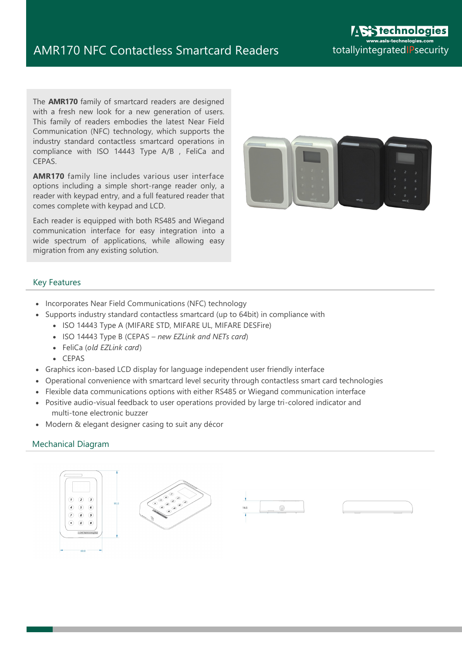The **AMR170** family of smartcard readers are designed with a fresh new look for a new generation of users. This family of readers embodies the latest Near Field Communication (NFC) technology, which supports the industry standard contactless smartcard operations in compliance with ISO 14443 Type A/B , FeliCa and CEPAS.

**AMR170** family line includes various user interface options including a simple short-range reader only, a reader with keypad entry, and a full featured reader that comes complete with keypad and LCD.

Each reader is equipped with both RS485 and Wiegand communication interface for easy integration into a wide spectrum of applications, while allowing easy migration from any existing solution.



### Key Features

- Incorporates Near Field Communications (NFC) technology
- Supports industry standard contactless smartcard (up to 64bit) in compliance with
	- ISO 14443 Type A (MIFARE STD, MIFARE UL, MIFARE DESFire)
	- ISO 14443 Type B (CEPAS *– new EZLink and NETs card*)
	- FeliCa (*old EZLink card*)
	- $CFPAS$
- Graphics icon-based LCD display for language independent user friendly interface
- Operational convenience with smartcard level security through contactless smart card technologies
- Flexible data communications options with either RS485 or Wiegand communication interface
- Positive audio-visual feedback to user operations provided by large tri-colored indicator and multi-tone electronic buzzer
- Modern & elegant designer casing to suit any décor

### Mechanical Diagram